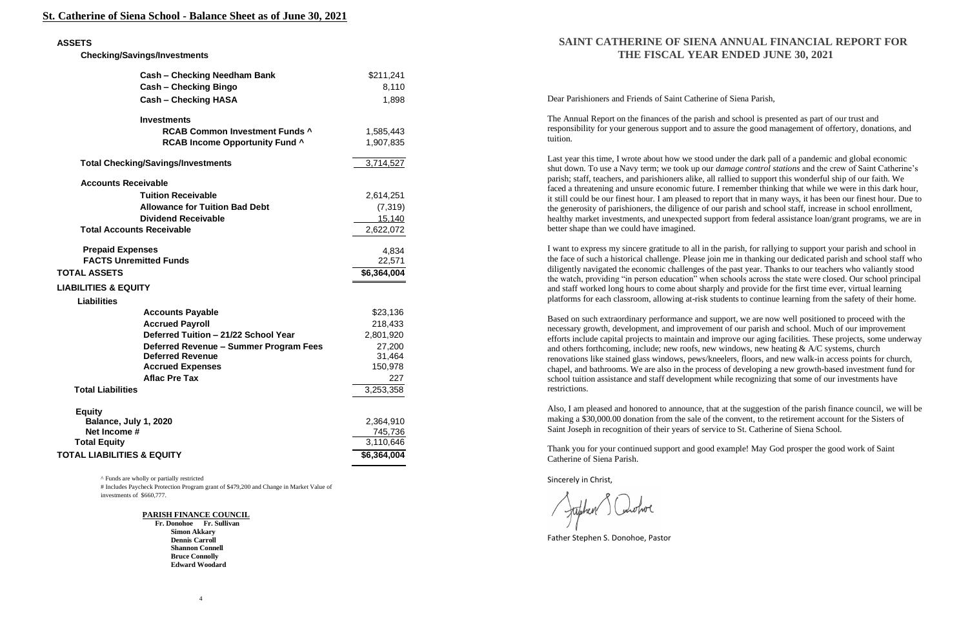### **St. Catherine of Siena School - Balance Sheet as of June 30, 2021**

^ Funds are wholly or partially restricted

# Includes Paycheck Protection Program grant of \$479,200 and Change in Market Value of investments of \$660,777.

**PARISH FINANCE COUNCIL**

 **Fr. Donohoe Fr. Sullivan Simon Akkary Dennis Carroll Shannon Connell Bruce Connolly Edward Woodard**

## **SAINT CATHERINE OF SIENA ANNUAL FINANCIAL REPORT FOR THE FISCAL YEAR ENDED JUNE 30, 2021**

Dear Parishioners and Friends of Saint Catherine of Siena Parish,

The Annual Report on the finances of the parish and school is presented as part of our trust and responsibility for your generous support and to assure the good management of offertory, donations, and tuition.

Last year this time, I wrote about how we stood under the dark pall of a pandemic and global economic shut down. To use a Navy term; we took up our *damage control stations* and the crew of Saint Catherine's parish; staff, teachers, and parishioners alike, all rallied to support this wonderful ship of our faith. We faced a threatening and unsure economic future. I remember thinking that while we were in this dark hour, it still could be our finest hour. I am pleased to report that in many ways, it has been our finest hour. Due to the generosity of parishioners, the diligence of our parish and school staff, increase in school enrollment, healthy market investments, and unexpected support from federal assistance loan/grant programs, we are in better shape than we could have imagined.

I want to express my sincere gratitude to all in the parish, for rallying to support your parish and school in the face of such a historical challenge. Please join me in thanking our dedicated parish and school staff who diligently navigated the economic challenges of the past year. Thanks to our teachers who valiantly stood the watch, providing "in person education" when schools across the state were closed. Our school principal and staff worked long hours to come about sharply and provide for the first time ever, virtual learning platforms for each classroom, allowing at-risk students to continue learning from the safety of their home.

Based on such extraordinary performance and support, we are now well positioned to proceed with the necessary growth, development, and improvement of our parish and school. Much of our improvement efforts include capital projects to maintain and improve our aging facilities. These projects, some underway and others forthcoming, include; new roofs, new windows, new heating & A/C systems, church renovations like stained glass windows, pews/kneelers, floors, and new walk-in access points for church, chapel, and bathrooms. We are also in the process of developing a new growth-based investment fund for school tuition assistance and staff development while recognizing that some of our investments have restrictions.

Also, I am pleased and honored to announce, that at the suggestion of the parish finance council, we will be making a \$30,000.00 donation from the sale of the convent, to the retirement account for the Sisters of Saint Joseph in recognition of their years of service to St. Catherine of Siena School.

Thank you for your continued support and good example! May God prosper the good work of Saint Catherine of Siena Parish.

Sincerely in Christ,

Juphen Conotrol

Father Stephen S. Donohoe, Pastor

#### **ASSETS**

 **Checking/Savings/Investments**

|                                           | <b>Cash - Checking Needham Bank</b>    | \$211,241                |
|-------------------------------------------|----------------------------------------|--------------------------|
|                                           | <b>Cash - Checking Bingo</b>           | 8,110                    |
|                                           | <b>Cash - Checking HASA</b>            | 1,898                    |
|                                           | <b>Investments</b>                     |                          |
|                                           | <b>RCAB Common Investment Funds ^</b>  | 1,585,443                |
|                                           | <b>RCAB Income Opportunity Fund ^</b>  | 1,907,835                |
| <b>Total Checking/Savings/Investments</b> |                                        | 3,714,527                |
| <b>Accounts Receivable</b>                |                                        |                          |
|                                           | <b>Tuition Receivable</b>              | 2,614,251                |
|                                           | <b>Allowance for Tuition Bad Debt</b>  | (7, 319)                 |
|                                           | <b>Dividend Receivable</b>             | 15,140                   |
| <b>Total Accounts Receivable</b>          |                                        | 2,622,072                |
| <b>Prepaid Expenses</b>                   |                                        | 4,834                    |
| <b>FACTS Unremitted Funds</b>             |                                        | 22,571                   |
|                                           |                                        |                          |
| <b>TOTAL ASSETS</b>                       |                                        | $\overline{$6,364,004}$  |
| <b>LIABILITIES &amp; EQUITY</b>           |                                        |                          |
| <b>Liabilities</b>                        |                                        |                          |
|                                           | <b>Accounts Payable</b>                | \$23,136                 |
|                                           | <b>Accrued Payroll</b>                 | 218,433                  |
|                                           | Deferred Tuition - 21/22 School Year   | 2,801,920                |
|                                           | Deferred Revenue - Summer Program Fees | 27,200                   |
|                                           | <b>Deferred Revenue</b>                | 31,464                   |
|                                           | <b>Accrued Expenses</b>                | 150,978                  |
|                                           | <b>Aflac Pre Tax</b>                   | 227                      |
| <b>Total Liabilities</b>                  |                                        | 3,253,358                |
| <b>Equity</b>                             |                                        |                          |
| Balance, July 1, 2020                     |                                        | 2,364,910                |
| Net Income #                              |                                        | 745,736                  |
| <b>Total Equity</b>                       |                                        | 3,110,646<br>\$6,364,004 |